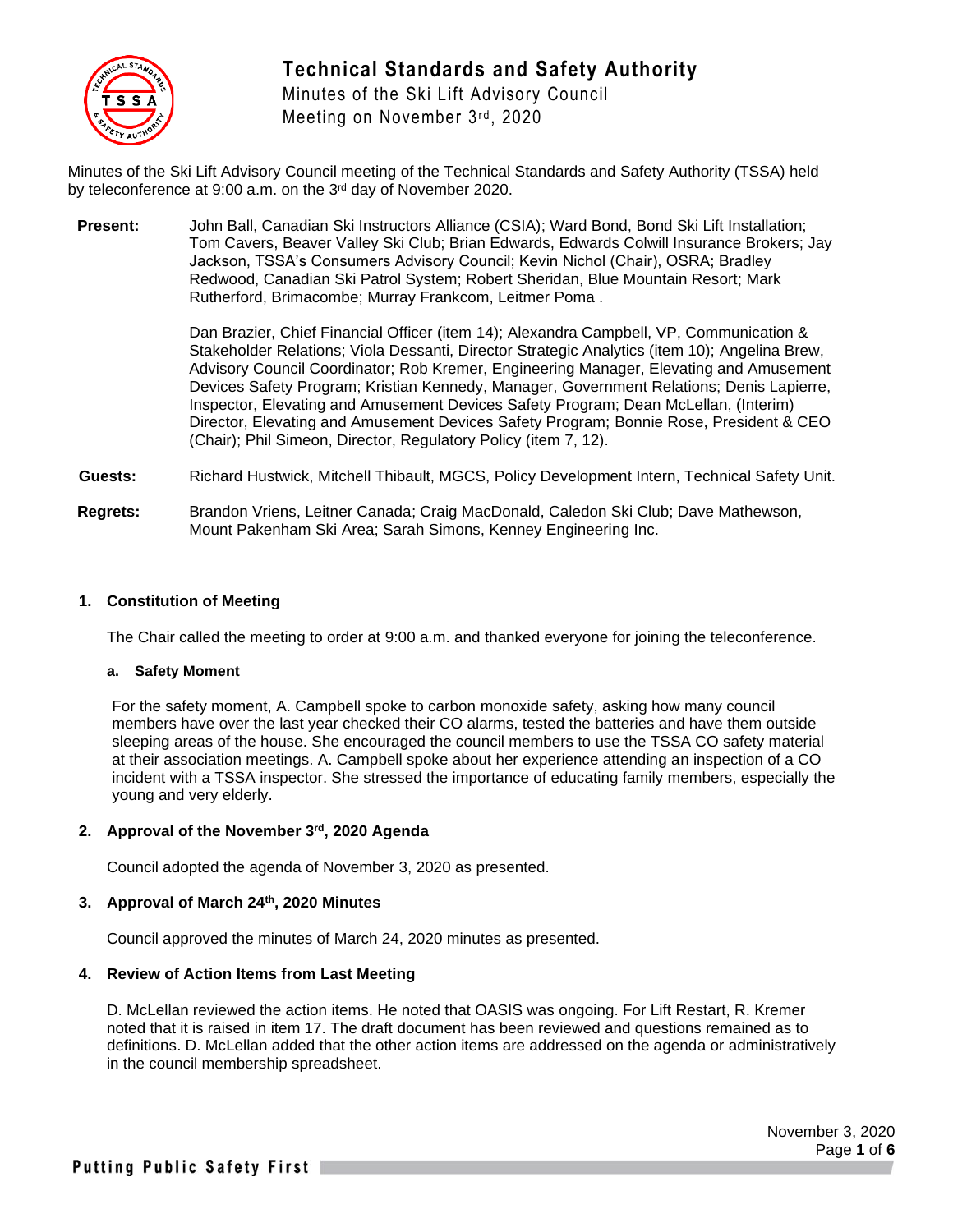

Minutes of the Ski Lift Advisory Council Meeting on November 3rd, 2020

Minutes of the Ski Lift Advisory Council meeting of the Technical Standards and Safety Authority (TSSA) held by teleconference at 9:00 a.m. on the 3<sup>rd</sup> day of November 2020.

**Present:** John Ball, Canadian Ski Instructors Alliance (CSIA); Ward Bond, Bond Ski Lift Installation; Tom Cavers, Beaver Valley Ski Club; Brian Edwards, Edwards Colwill Insurance Brokers; Jay Jackson, TSSA's Consumers Advisory Council; Kevin Nichol (Chair), OSRA; Bradley Redwood, Canadian Ski Patrol System; Robert Sheridan, Blue Mountain Resort; Mark Rutherford, Brimacombe; Murray Frankcom, Leitmer Poma .

> Dan Brazier, Chief Financial Officer (item 14); Alexandra Campbell, VP, Communication & Stakeholder Relations; Viola Dessanti, Director Strategic Analytics (item 10); Angelina Brew, Advisory Council Coordinator; Rob Kremer, Engineering Manager, Elevating and Amusement Devices Safety Program; Kristian Kennedy, Manager, Government Relations; Denis Lapierre, Inspector, Elevating and Amusement Devices Safety Program; Dean McLellan, (Interim) Director, Elevating and Amusement Devices Safety Program; Bonnie Rose, President & CEO (Chair); Phil Simeon, Director, Regulatory Policy (item 7, 12).

- **Guests:** Richard Hustwick, Mitchell Thibault, MGCS, Policy Development Intern, Technical Safety Unit.
- **Regrets:** Brandon Vriens, Leitner Canada; Craig MacDonald, Caledon Ski Club; Dave Mathewson, Mount Pakenham Ski Area; Sarah Simons, Kenney Engineering Inc.

# **1. Constitution of Meeting**

The Chair called the meeting to order at 9:00 a.m. and thanked everyone for joining the teleconference.

#### **a. Safety Moment**

For the safety moment, A. Campbell spoke to carbon monoxide safety, asking how many council members have over the last year checked their CO alarms, tested the batteries and have them outside sleeping areas of the house. She encouraged the council members to use the TSSA CO safety material at their association meetings. A. Campbell spoke about her experience attending an inspection of a CO incident with a TSSA inspector. She stressed the importance of educating family members, especially the young and very elderly.

# **2. Approval of the November 3rd , 2020 Agenda**

Council adopted the agenda of November 3, 2020 as presented.

# **3. Approval of March 24th, 2020 Minutes**

Council approved the minutes of March 24, 2020 minutes as presented.

# **4. Review of Action Items from Last Meeting**

D. McLellan reviewed the action items. He noted that OASIS was ongoing. For Lift Restart, R. Kremer noted that it is raised in item 17. The draft document has been reviewed and questions remained as to definitions. D. McLellan added that the other action items are addressed on the agenda or administratively in the council membership spreadsheet.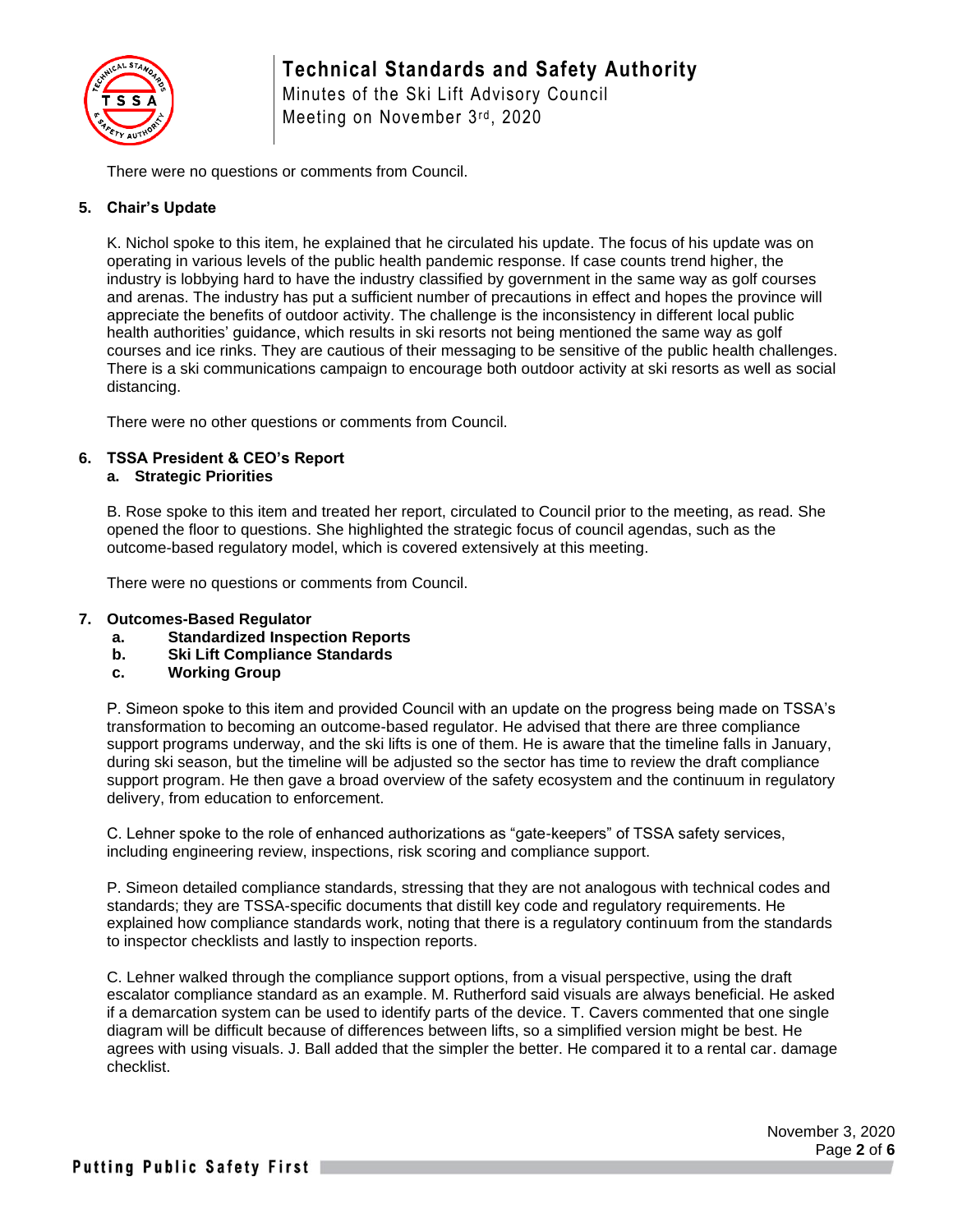

Minutes of the Ski Lift Advisory Council Meeting on November 3rd, 2020

There were no questions or comments from Council.

# **5. Chair's Update**

K. Nichol spoke to this item, he explained that he circulated his update. The focus of his update was on operating in various levels of the public health pandemic response. If case counts trend higher, the industry is lobbying hard to have the industry classified by government in the same way as golf courses and arenas. The industry has put a sufficient number of precautions in effect and hopes the province will appreciate the benefits of outdoor activity. The challenge is the inconsistency in different local public health authorities' guidance, which results in ski resorts not being mentioned the same way as golf courses and ice rinks. They are cautious of their messaging to be sensitive of the public health challenges. There is a ski communications campaign to encourage both outdoor activity at ski resorts as well as social distancing.

There were no other questions or comments from Council.

# **6. TSSA President & CEO's Report**

# **a. Strategic Priorities**

B. Rose spoke to this item and treated her report, circulated to Council prior to the meeting, as read. She opened the floor to questions. She highlighted the strategic focus of council agendas, such as the outcome-based regulatory model, which is covered extensively at this meeting.

There were no questions or comments from Council.

### **7. Outcomes-Based Regulator**

- **a. Standardized Inspection Reports**
- **b. Ski Lift Compliance Standards**
- **c. Working Group**

P. Simeon spoke to this item and provided Council with an update on the progress being made on TSSA's transformation to becoming an outcome-based regulator. He advised that there are three compliance support programs underway, and the ski lifts is one of them. He is aware that the timeline falls in January, during ski season, but the timeline will be adjusted so the sector has time to review the draft compliance support program. He then gave a broad overview of the safety ecosystem and the continuum in regulatory delivery, from education to enforcement.

C. Lehner spoke to the role of enhanced authorizations as "gate-keepers" of TSSA safety services, including engineering review, inspections, risk scoring and compliance support.

P. Simeon detailed compliance standards, stressing that they are not analogous with technical codes and standards; they are TSSA-specific documents that distill key code and regulatory requirements. He explained how compliance standards work, noting that there is a regulatory continuum from the standards to inspector checklists and lastly to inspection reports.

C. Lehner walked through the compliance support options, from a visual perspective, using the draft escalator compliance standard as an example. M. Rutherford said visuals are always beneficial. He asked if a demarcation system can be used to identify parts of the device. T. Cavers commented that one single diagram will be difficult because of differences between lifts, so a simplified version might be best. He agrees with using visuals. J. Ball added that the simpler the better. He compared it to a rental car. damage checklist.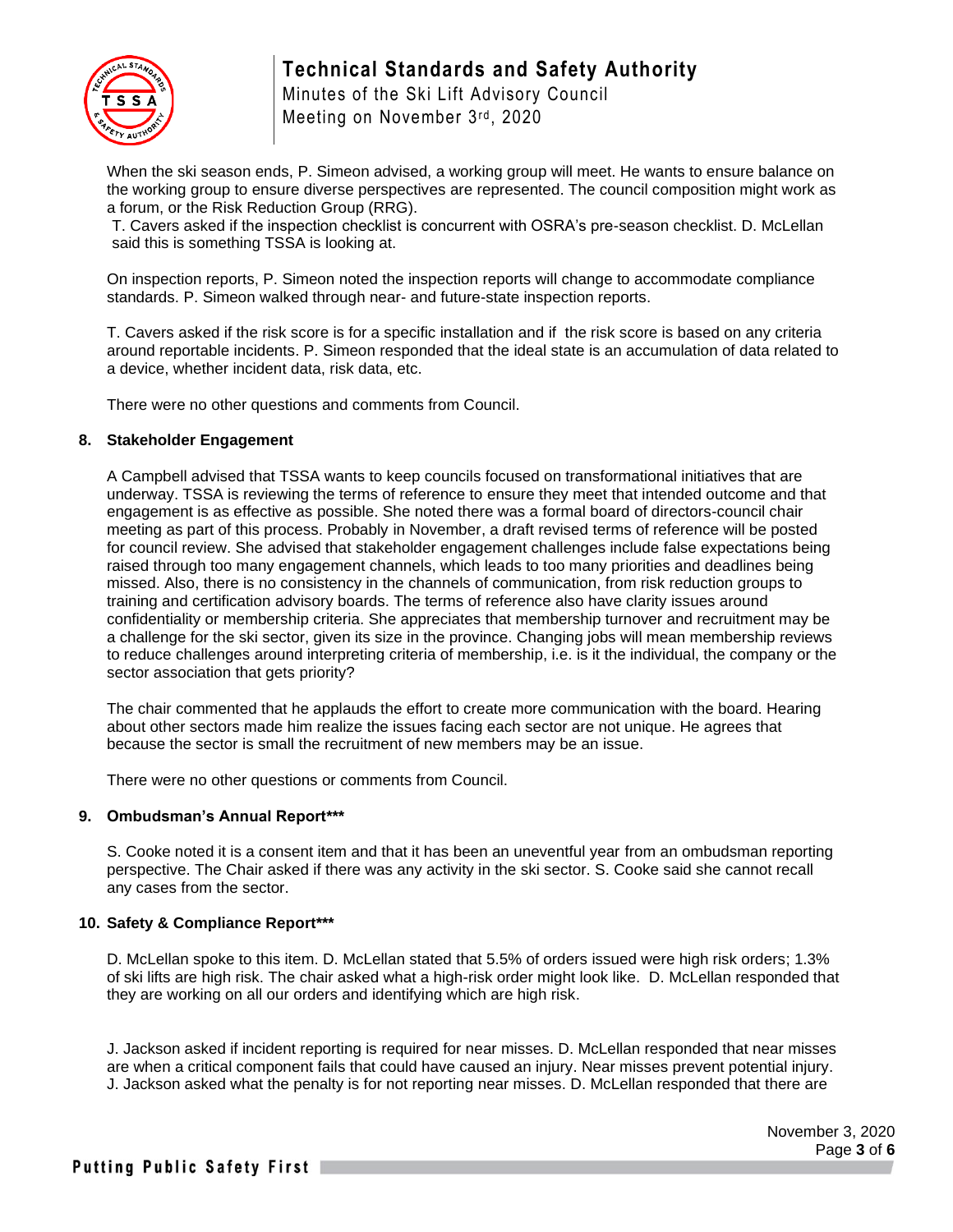

Minutes of the Ski Lift Advisory Council Meeting on November 3rd, 2020

When the ski season ends, P. Simeon advised, a working group will meet. He wants to ensure balance on the working group to ensure diverse perspectives are represented. The council composition might work as a forum, or the Risk Reduction Group (RRG).

T. Cavers asked if the inspection checklist is concurrent with OSRA's pre-season checklist. D. McLellan said this is something TSSA is looking at.

On inspection reports, P. Simeon noted the inspection reports will change to accommodate compliance standards. P. Simeon walked through near- and future-state inspection reports.

T. Cavers asked if the risk score is for a specific installation and if the risk score is based on any criteria around reportable incidents. P. Simeon responded that the ideal state is an accumulation of data related to a device, whether incident data, risk data, etc.

There were no other questions and comments from Council.

#### **8. Stakeholder Engagement**

A Campbell advised that TSSA wants to keep councils focused on transformational initiatives that are underway. TSSA is reviewing the terms of reference to ensure they meet that intended outcome and that engagement is as effective as possible. She noted there was a formal board of directors-council chair meeting as part of this process. Probably in November, a draft revised terms of reference will be posted for council review. She advised that stakeholder engagement challenges include false expectations being raised through too many engagement channels, which leads to too many priorities and deadlines being missed. Also, there is no consistency in the channels of communication, from risk reduction groups to training and certification advisory boards. The terms of reference also have clarity issues around confidentiality or membership criteria. She appreciates that membership turnover and recruitment may be a challenge for the ski sector, given its size in the province. Changing jobs will mean membership reviews to reduce challenges around interpreting criteria of membership, i.e. is it the individual, the company or the sector association that gets priority?

The chair commented that he applauds the effort to create more communication with the board. Hearing about other sectors made him realize the issues facing each sector are not unique. He agrees that because the sector is small the recruitment of new members may be an issue.

There were no other questions or comments from Council.

#### **9. Ombudsman's Annual Report\*\*\***

S. Cooke noted it is a consent item and that it has been an uneventful year from an ombudsman reporting perspective. The Chair asked if there was any activity in the ski sector. S. Cooke said she cannot recall any cases from the sector.

# **10. Safety & Compliance Report\*\*\***

D. McLellan spoke to this item. D. McLellan stated that 5.5% of orders issued were high risk orders; 1.3% of ski lifts are high risk. The chair asked what a high-risk order might look like. D. McLellan responded that they are working on all our orders and identifying which are high risk.

J. Jackson asked if incident reporting is required for near misses. D. McLellan responded that near misses are when a critical component fails that could have caused an injury. Near misses prevent potential injury. J. Jackson asked what the penalty is for not reporting near misses. D. McLellan responded that there are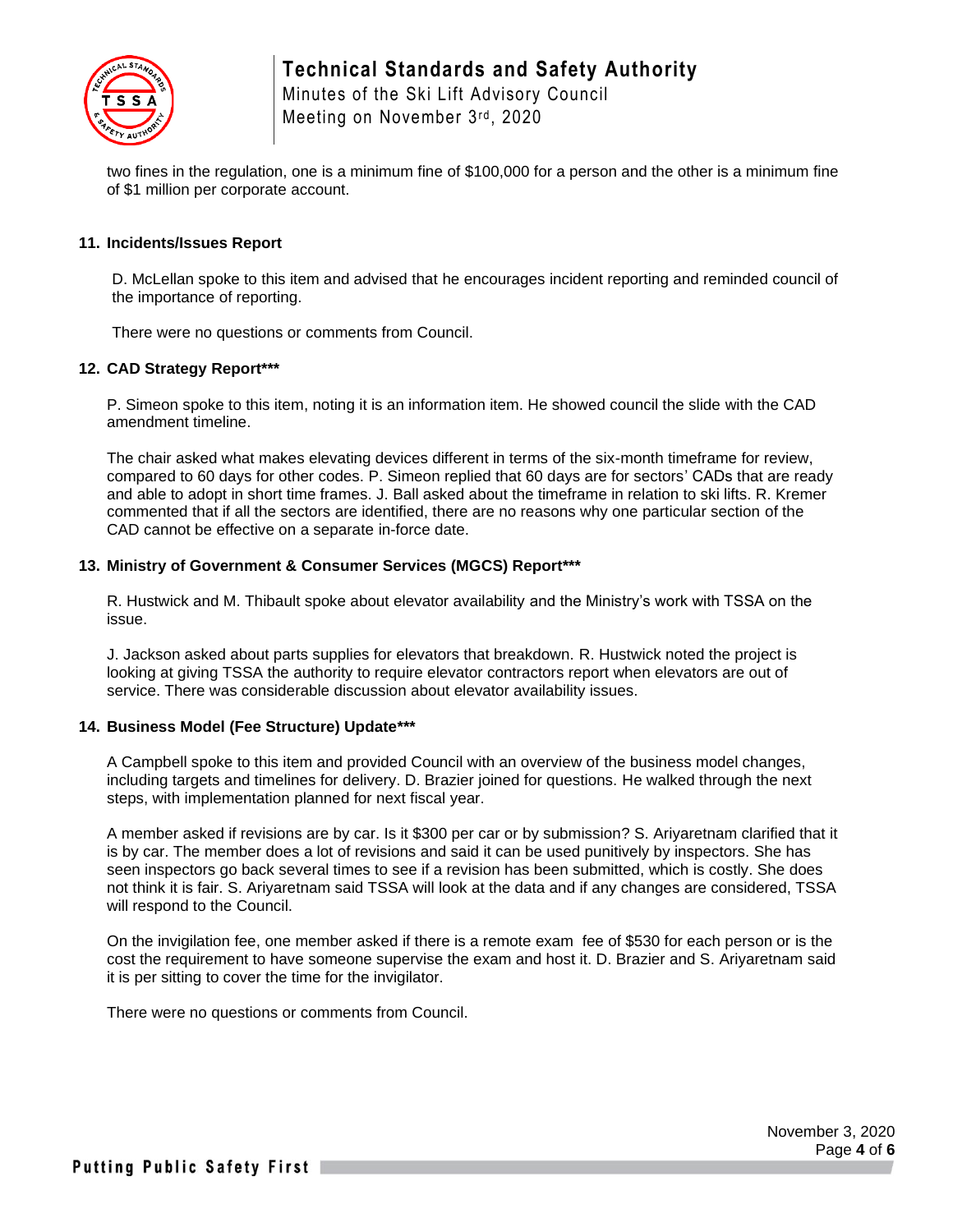

Meeting on November 3rd, 2020

two fines in the regulation, one is a minimum fine of \$100,000 for a person and the other is a minimum fine of \$1 million per corporate account.

# **11. Incidents/Issues Report**

D. McLellan spoke to this item and advised that he encourages incident reporting and reminded council of the importance of reporting.

There were no questions or comments from Council.

# **12. CAD Strategy Report\*\*\***

P. Simeon spoke to this item, noting it is an information item. He showed council the slide with the CAD amendment timeline.

The chair asked what makes elevating devices different in terms of the six-month timeframe for review, compared to 60 days for other codes. P. Simeon replied that 60 days are for sectors' CADs that are ready and able to adopt in short time frames. J. Ball asked about the timeframe in relation to ski lifts. R. Kremer commented that if all the sectors are identified, there are no reasons why one particular section of the CAD cannot be effective on a separate in-force date.

### **13. Ministry of Government & Consumer Services (MGCS) Report\*\*\***

R. Hustwick and M. Thibault spoke about elevator availability and the Ministry's work with TSSA on the issue.

J. Jackson asked about parts supplies for elevators that breakdown. R. Hustwick noted the project is looking at giving TSSA the authority to require elevator contractors report when elevators are out of service. There was considerable discussion about elevator availability issues.

#### **14. Business Model (Fee Structure) Update\*\*\***

A Campbell spoke to this item and provided Council with an overview of the business model changes, including targets and timelines for delivery. D. Brazier joined for questions. He walked through the next steps, with implementation planned for next fiscal year.

A member asked if revisions are by car. Is it \$300 per car or by submission? S. Ariyaretnam clarified that it is by car. The member does a lot of revisions and said it can be used punitively by inspectors. She has seen inspectors go back several times to see if a revision has been submitted, which is costly. She does not think it is fair. S. Ariyaretnam said TSSA will look at the data and if any changes are considered, TSSA will respond to the Council.

On the invigilation fee, one member asked if there is a remote exam fee of \$530 for each person or is the cost the requirement to have someone supervise the exam and host it. D. Brazier and S. Ariyaretnam said it is per sitting to cover the time for the invigilator.

There were no questions or comments from Council.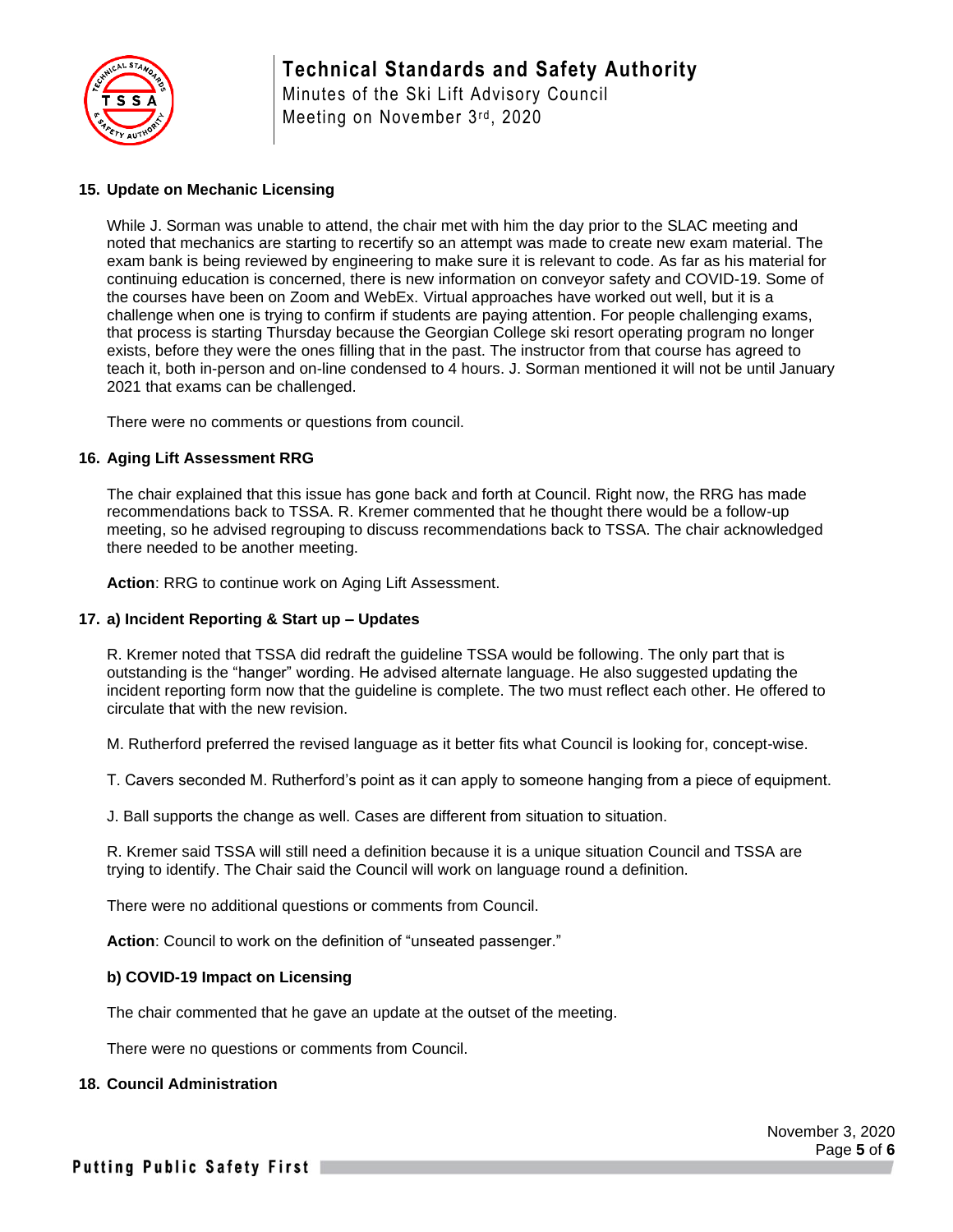

Minutes of the Ski Lift Advisory Council Meeting on November 3rd, 2020

# **15. Update on Mechanic Licensing**

While J. Sorman was unable to attend, the chair met with him the day prior to the SLAC meeting and noted that mechanics are starting to recertify so an attempt was made to create new exam material. The exam bank is being reviewed by engineering to make sure it is relevant to code. As far as his material for continuing education is concerned, there is new information on conveyor safety and COVID-19. Some of the courses have been on Zoom and WebEx. Virtual approaches have worked out well, but it is a challenge when one is trying to confirm if students are paying attention. For people challenging exams, that process is starting Thursday because the Georgian College ski resort operating program no longer exists, before they were the ones filling that in the past. The instructor from that course has agreed to teach it, both in-person and on-line condensed to 4 hours. J. Sorman mentioned it will not be until January 2021 that exams can be challenged.

There were no comments or questions from council.

# **16. Aging Lift Assessment RRG**

The chair explained that this issue has gone back and forth at Council. Right now, the RRG has made recommendations back to TSSA. R. Kremer commented that he thought there would be a follow-up meeting, so he advised regrouping to discuss recommendations back to TSSA. The chair acknowledged there needed to be another meeting.

**Action**: RRG to continue work on Aging Lift Assessment.

#### **17. a) Incident Reporting & Start up – Updates**

R. Kremer noted that TSSA did redraft the guideline TSSA would be following. The only part that is outstanding is the "hanger" wording. He advised alternate language. He also suggested updating the incident reporting form now that the guideline is complete. The two must reflect each other. He offered to circulate that with the new revision.

M. Rutherford preferred the revised language as it better fits what Council is looking for, concept-wise.

T. Cavers seconded M. Rutherford's point as it can apply to someone hanging from a piece of equipment.

J. Ball supports the change as well. Cases are different from situation to situation.

R. Kremer said TSSA will still need a definition because it is a unique situation Council and TSSA are trying to identify. The Chair said the Council will work on language round a definition.

There were no additional questions or comments from Council.

**Action**: Council to work on the definition of "unseated passenger."

### **b) COVID-19 Impact on Licensing**

The chair commented that he gave an update at the outset of the meeting.

There were no questions or comments from Council.

#### **18. Council Administration**